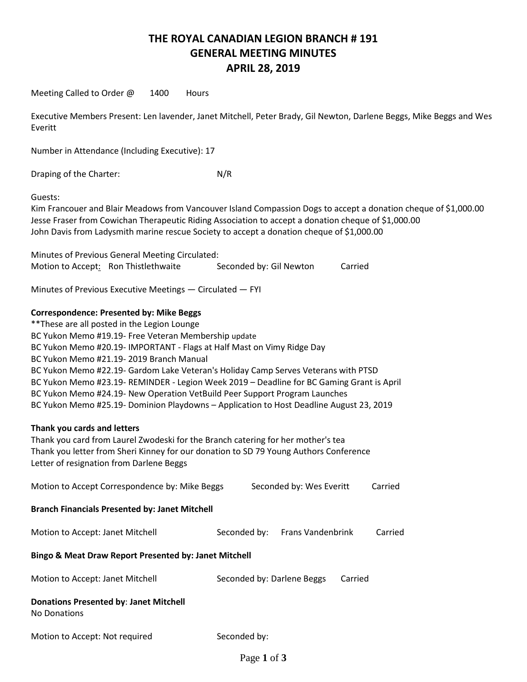## **THE ROYAL CANADIAN LEGION BRANCH # 191 GENERAL MEETING MINUTES APRIL 28, 2019**

Meeting Called to Order @ 1400 Hours

Executive Members Present: Len lavender, Janet Mitchell, Peter Brady, Gil Newton, Darlene Beggs, Mike Beggs and Wes Everitt

Number in Attendance (Including Executive): 17

Draping of the Charter: N/R

Guests:

Kim Francouer and Blair Meadows from Vancouver Island Compassion Dogs to accept a donation cheque of \$1,000.00 Jesse Fraser from Cowichan Therapeutic Riding Association to accept a donation cheque of \$1,000.00 John Davis from Ladysmith marine rescue Society to accept a donation cheque of \$1,000.00

Minutes of Previous General Meeting Circulated: Motion to Accept: Ron Thistlethwaite Seconded by: Gil Newton Carried

Minutes of Previous Executive Meetings — Circulated — FYI

## **Correspondence: Presented by: Mike Beggs**

| ** These are all posted in the Legion Lounge                                              |
|-------------------------------------------------------------------------------------------|
| BC Yukon Memo #19.19- Free Veteran Membership update                                      |
| BC Yukon Memo #20.19- IMPORTANT - Flags at Half Mast on Vimy Ridge Day                    |
| BC Yukon Memo #21.19-2019 Branch Manual                                                   |
| BC Yukon Memo #22.19- Gardom Lake Veteran's Holiday Camp Serves Veterans with PTSD        |
| BC Yukon Memo #23.19- REMINDER - Legion Week 2019 - Deadline for BC Gaming Grant is April |
| BC Yukon Memo #24.19- New Operation VetBuild Peer Support Program Launches                |
| BC Yukon Memo #25.19- Dominion Playdowns - Application to Host Deadline August 23, 2019   |

### **Thank you cards and letters**

Thank you card from Laurel Zwodeski for the Branch catering for her mother's tea Thank you letter from Sheri Kinney for our donation to SD 79 Young Authors Conference Letter of resignation from Darlene Beggs

| Motion to Accept Correspondence by: Mike Beggs                   |              | Seconded by: Wes Everitt |                            |         | Carried |  |
|------------------------------------------------------------------|--------------|--------------------------|----------------------------|---------|---------|--|
| <b>Branch Financials Presented by: Janet Mitchell</b>            |              |                          |                            |         |         |  |
| Motion to Accept: Janet Mitchell                                 | Seconded by: |                          | <b>Frans Vandenbrink</b>   |         | Carried |  |
| <b>Bingo &amp; Meat Draw Report Presented by: Janet Mitchell</b> |              |                          |                            |         |         |  |
| Motion to Accept: Janet Mitchell                                 |              |                          | Seconded by: Darlene Beggs | Carried |         |  |
| <b>Donations Presented by: Janet Mitchell</b><br>No Donations    |              |                          |                            |         |         |  |
| Motion to Accept: Not required                                   | Seconded by: |                          |                            |         |         |  |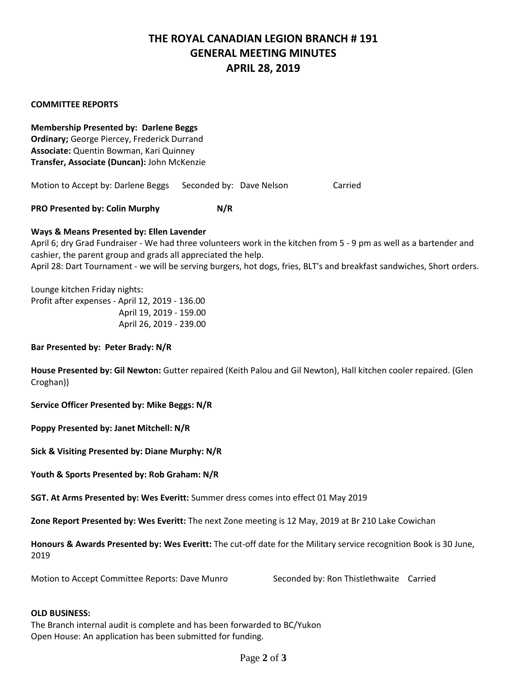# **THE ROYAL CANADIAN LEGION BRANCH # 191 GENERAL MEETING MINUTES APRIL 28, 2019**

### **COMMITTEE REPORTS**

**Membership Presented by: Darlene Beggs Ordinary;** George Piercey, Frederick Durrand **Associate:** Quentin Bowman, Kari Quinney **Transfer, Associate (Duncan):** John McKenzie

Motion to Accept by: Darlene Beggs Seconded by: Dave Nelson Carried

**PRO Presented by: Colin Murphy N/R**

## **Ways & Means Presented by: Ellen Lavender**

April 6; dry Grad Fundraiser - We had three volunteers work in the kitchen from 5 - 9 pm as well as a bartender and cashier, the parent group and grads all appreciated the help.

April 28: Dart Tournament - we will be serving burgers, hot dogs, fries, BLT's and breakfast sandwiches, Short orders.

Lounge kitchen Friday nights: Profit after expenses - April 12, 2019 - 136.00 April 19, 2019 - 159.00 April 26, 2019 - 239.00

### **Bar Presented by: Peter Brady: N/R**

**House Presented by: Gil Newton:** Gutter repaired (Keith Palou and Gil Newton), Hall kitchen cooler repaired. (Glen Croghan))

**Service Officer Presented by: Mike Beggs: N/R**

**Poppy Presented by: Janet Mitchell: N/R**

**Sick & Visiting Presented by: Diane Murphy: N/R**

**Youth & Sports Presented by: Rob Graham: N/R**

**SGT. At Arms Presented by: Wes Everitt:** Summer dress comes into effect 01 May 2019

**Zone Report Presented by: Wes Everitt:** The next Zone meeting is 12 May, 2019 at Br 210 Lake Cowichan

**Honours & Awards Presented by: Wes Everitt:** The cut-off date for the Military service recognition Book is 30 June, 2019

\_\_\_\_\_\_\_\_\_\_\_\_\_\_\_\_\_\_\_\_\_\_\_\_\_\_\_\_\_\_\_\_\_\_\_\_\_\_ Motion to Accept Committee Reports: Dave Munro Seconded by: Ron Thistlethwaite Carried

### **OLD BUSINESS:**

The Branch internal audit is complete and has been forwarded to BC/Yukon Open House: An application has been submitted for funding.